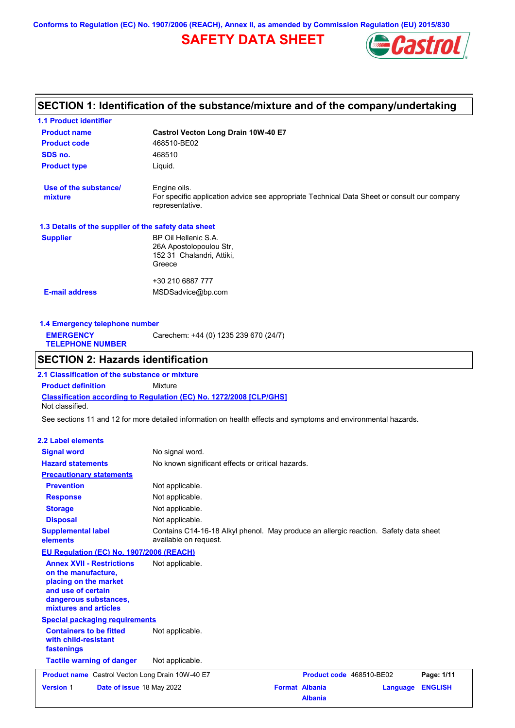**Conforms to Regulation (EC) No. 1907/2006 (REACH), Annex II, as amended by Commission Regulation (EU) 2015/830**

# **SAFETY DATA SHEET**



# **SECTION 1: Identification of the substance/mixture and of the company/undertaking**

| 1.1 Product identifier                                                                                                                                   |                                                                                                                                |
|----------------------------------------------------------------------------------------------------------------------------------------------------------|--------------------------------------------------------------------------------------------------------------------------------|
| <b>Product name</b>                                                                                                                                      | Castrol Vecton Long Drain 10W-40 E7                                                                                            |
| <b>Product code</b>                                                                                                                                      | 468510-BE02                                                                                                                    |
| SDS no.                                                                                                                                                  | 468510                                                                                                                         |
| <b>Product type</b>                                                                                                                                      | Liquid.                                                                                                                        |
| Use of the substance/<br>mixture                                                                                                                         | Engine oils.<br>For specific application advice see appropriate Technical Data Sheet or consult our company<br>representative. |
| 1.3 Details of the supplier of the safety data sheet                                                                                                     |                                                                                                                                |
| <b>Supplier</b>                                                                                                                                          | BP Oil Hellenic S.A.<br>26A Apostolopoulou Str,<br>152 31 Chalandri, Attiki,<br>Greece                                         |
|                                                                                                                                                          | +30 210 6887 777                                                                                                               |
| <b>E-mail address</b>                                                                                                                                    | MSDSadvice@bp.com                                                                                                              |
|                                                                                                                                                          |                                                                                                                                |
| 1.4 Emergency telephone number                                                                                                                           |                                                                                                                                |
| <b>EMERGENCY</b><br><b>TELEPHONE NUMBER</b>                                                                                                              | Carechem: +44 (0) 1235 239 670 (24/7)                                                                                          |
| <b>SECTION 2: Hazards identification</b>                                                                                                                 |                                                                                                                                |
|                                                                                                                                                          |                                                                                                                                |
| 2.1 Classification of the substance or mixture                                                                                                           |                                                                                                                                |
| <b>Product definition</b>                                                                                                                                | <b>Mixture</b>                                                                                                                 |
| Not classified.                                                                                                                                          | Classification according to Regulation (EC) No. 1272/2008 [CLP/GHS]                                                            |
|                                                                                                                                                          | See sections 11 and 12 for more detailed information on health effects and symptoms and environmental hazards.                 |
| <b>2.2 Label elements</b>                                                                                                                                |                                                                                                                                |
| <b>Signal word</b>                                                                                                                                       | No signal word.                                                                                                                |
| <b>Hazard statements</b>                                                                                                                                 | No known significant effects or critical hazards.                                                                              |
| <b>Precautionary statements</b>                                                                                                                          |                                                                                                                                |
| <b>Prevention</b>                                                                                                                                        | Not applicable.                                                                                                                |
| <b>Response</b>                                                                                                                                          | Not applicable.                                                                                                                |
| <b>Storage</b>                                                                                                                                           | Not applicable.                                                                                                                |
| <b>Disposal</b>                                                                                                                                          | Not applicable.                                                                                                                |
| <b>Supplemental label</b><br>elements                                                                                                                    | Contains C14-16-18 Alkyl phenol. May produce an allergic reaction. Safety data sheet<br>available on request.                  |
| EU Regulation (EC) No. 1907/2006 (REACH)                                                                                                                 |                                                                                                                                |
| <b>Annex XVII - Restrictions</b><br>on the manufacture,<br>placing on the market<br>and use of certain<br>dangerous substances,<br>mixtures and articles | Not applicable.                                                                                                                |
| <b>Special packaging requirements</b>                                                                                                                    |                                                                                                                                |
| <b>Containers to be fitted</b><br>with child-resistant<br>fastenings                                                                                     | Not applicable.                                                                                                                |
| <b>Tactile warning of danger</b>                                                                                                                         | Not applicable.                                                                                                                |
| <b>Product name</b> Castrol Vecton Long Drain 10W-40 E7                                                                                                  | Product code 468510-BE02<br>Page: 1/11                                                                                         |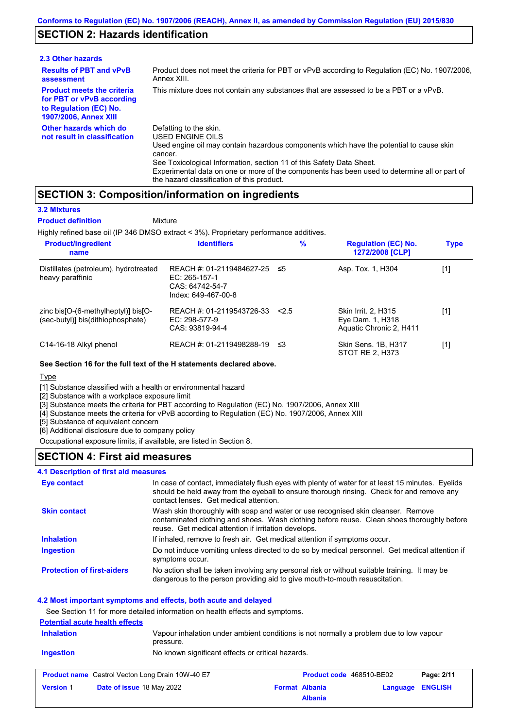## **SECTION 2: Hazards identification**

| 2.3 Other hazards                                                                                                        |                                                                                                                                                                                                                                                                                                                                                                        |
|--------------------------------------------------------------------------------------------------------------------------|------------------------------------------------------------------------------------------------------------------------------------------------------------------------------------------------------------------------------------------------------------------------------------------------------------------------------------------------------------------------|
| <b>Results of PBT and vPvB</b><br>assessment                                                                             | Product does not meet the criteria for PBT or vPvB according to Regulation (EC) No. 1907/2006,<br>Annex XIII.                                                                                                                                                                                                                                                          |
| <b>Product meets the criteria</b><br>for PBT or vPvB according<br>to Regulation (EC) No.<br><b>1907/2006, Annex XIII</b> | This mixture does not contain any substances that are assessed to be a PBT or a vPvB.                                                                                                                                                                                                                                                                                  |
| Other hazards which do<br>not result in classification                                                                   | Defatting to the skin.<br>USED ENGINE OILS<br>Used engine oil may contain hazardous components which have the potential to cause skin<br>cancer.<br>See Toxicological Information, section 11 of this Safety Data Sheet.<br>Experimental data on one or more of the components has been used to determine all or part of<br>the hazard classification of this product. |

## **SECTION 3: Composition/information on ingredients**

Mixture

### **3.2 Mixtures**

### **Product definition**

Highly refined base oil (IP 346 DMSO extract < 3%). Proprietary performance additives.

| <b>Product/ingredient</b><br>name                                                               | <b>Identifiers</b>                                                                   | $\%$  | <b>Regulation (EC) No.</b><br>1272/2008 [CLP]                      | <b>Type</b> |
|-------------------------------------------------------------------------------------------------|--------------------------------------------------------------------------------------|-------|--------------------------------------------------------------------|-------------|
| Distillates (petroleum), hydrotreated<br>heavy paraffinic                                       | REACH #: 01-2119484627-25<br>EC: 265-157-1<br>CAS: 64742-54-7<br>Index: 649-467-00-8 | -≤5   | Asp. Tox. 1, H304                                                  | [1]         |
| zinc bis $[O-(6-methylheptyl)]$ bis $[O-(6-methylhept/l)]$<br>(sec-butyl)] bis(dithiophosphate) | REACH #: 01-2119543726-33<br>EC: 298-577-9<br>CAS: 93819-94-4                        | < 2.5 | Skin Irrit. 2, H315<br>Eye Dam. 1, H318<br>Aquatic Chronic 2, H411 | [1]         |
| C14-16-18 Alkyl phenol                                                                          | REACH #: 01-2119498288-19                                                            | -≤3   | Skin Sens. 1B, H317<br>STOT RE 2, H373                             | [1]         |

### **See Section 16 for the full text of the H statements declared above.**

## Type

[1] Substance classified with a health or environmental hazard

[2] Substance with a workplace exposure limit

[3] Substance meets the criteria for PBT according to Regulation (EC) No. 1907/2006, Annex XIII

[4] Substance meets the criteria for vPvB according to Regulation (EC) No. 1907/2006, Annex XIII

[5] Substance of equivalent concern

[6] Additional disclosure due to company policy

Occupational exposure limits, if available, are listed in Section 8.

## **SECTION 4: First aid measures**

#### Do not induce vomiting unless directed to do so by medical personnel. Get medical attention if symptoms occur. In case of contact, immediately flush eyes with plenty of water for at least 15 minutes. Eyelids should be held away from the eyeball to ensure thorough rinsing. Check for and remove any contact lenses. Get medical attention. **4.1 Description of first aid measures** If inhaled, remove to fresh air. Get medical attention if symptoms occur. **Ingestion Inhalation Eye contact Protection of first-aiders** No action shall be taken involving any personal risk or without suitable training. It may be dangerous to the person providing aid to give mouth-to-mouth resuscitation. **Skin contact** Wash skin thoroughly with soap and water or use recognised skin cleanser. Remove contaminated clothing and shoes. Wash clothing before reuse. Clean shoes thoroughly before reuse. Get medical attention if irritation develops.

## **4.2 Most important symptoms and effects, both acute and delayed**

See Section 11 for more detailed information on health effects and symptoms.

# **Potential acute health effects Inhalation** Vapour inhalation under ambient conditions is not normally a problem due to low vapour pressure. **Ingestion** No known significant effects or critical hazards. **Product name**

|                  | <b>Product name</b> Castrol Vecton Long Drain 10W-40 E7 | <b>Product code</b> 468510-BE02 |                  | Page: 2/11 |
|------------------|---------------------------------------------------------|---------------------------------|------------------|------------|
| <b>Version 1</b> | <b>Date of issue 18 May 2022</b>                        | <b>Format Albania</b>           | Language ENGLISH |            |
|                  |                                                         | <b>Albania</b>                  |                  |            |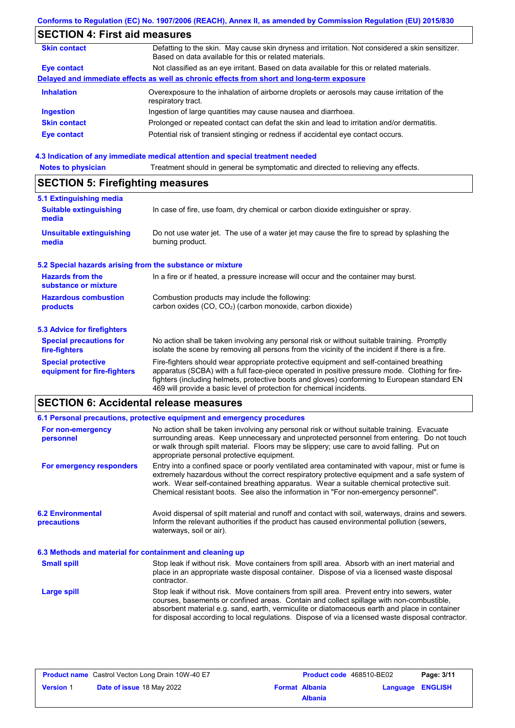## **SECTION 4: First aid measures**

| <b>Skin contact</b> | Defatting to the skin. May cause skin dryness and irritation. Not considered a skin sensitizer.<br>Based on data available for this or related materials. |
|---------------------|-----------------------------------------------------------------------------------------------------------------------------------------------------------|
| Eye contact         | Not classified as an eye irritant. Based on data available for this or related materials.                                                                 |
|                     | Delayed and immediate effects as well as chronic effects from short and long-term exposure                                                                |
| <b>Inhalation</b>   | Overexposure to the inhalation of airborne droplets or aerosols may cause irritation of the<br>respiratory tract.                                         |
| <b>Ingestion</b>    | Ingestion of large quantities may cause nausea and diarrhoea.                                                                                             |
| <b>Skin contact</b> | Prolonged or repeated contact can defat the skin and lead to irritation and/or dermatitis.                                                                |
| <b>Eye contact</b>  | Potential risk of transient stinging or redness if accidental eye contact occurs.                                                                         |
|                     |                                                                                                                                                           |

### **4.3 Indication of any immediate medical attention and special treatment needed**

| <b>Notes to physician</b>               | Treatment should in general be symptomatic and directed to relieving any effects. |  |
|-----------------------------------------|-----------------------------------------------------------------------------------|--|
| <b>SECTION 5: Firefighting measures</b> |                                                                                   |  |
| 5.1 Extinguishing media                 |                                                                                   |  |
| <b>Suitable extinguishing</b><br>media  | In case of fire, use foam, dry chemical or carbon dioxide extinguisher or spray.  |  |
|                                         |                                                                                   |  |

#### Do not use water jet. The use of a water jet may cause the fire to spread by splashing the burning product. **Unsuitable extinguishing media**

## **5.2 Special hazards arising from the substance or mixture**

| <b>Hazards from the</b><br>substance or mixture | In a fire or if heated, a pressure increase will occur and the container may burst.                           |
|-------------------------------------------------|---------------------------------------------------------------------------------------------------------------|
| <b>Hazardous combustion</b><br>products         | Combustion products may include the following:<br>carbon oxides $(CO, CO2)$ (carbon monoxide, carbon dioxide) |
| <b>5.3 Advice for firefighters</b>              |                                                                                                               |

#### No action shall be taken involving any personal risk or without suitable training. Promptly isolate the scene by removing all persons from the vicinity of the incident if there is a fire. **Special precautions for**

Fire-fighters should wear appropriate protective equipment and self-contained breathing apparatus (SCBA) with a full face-piece operated in positive pressure mode. Clothing for firefighters (including helmets, protective boots and gloves) conforming to European standard EN 469 will provide a basic level of protection for chemical incidents. **Special protective equipment for fire-fighters**

# **SECTION 6: Accidental release measures**

**fire-fighters**

|                                                          | 6.1 Personal precautions, protective equipment and emergency procedures                                                                                                                                                                                                                                                                                                              |  |  |  |
|----------------------------------------------------------|--------------------------------------------------------------------------------------------------------------------------------------------------------------------------------------------------------------------------------------------------------------------------------------------------------------------------------------------------------------------------------------|--|--|--|
| For non-emergency<br>personnel                           | No action shall be taken involving any personal risk or without suitable training. Evacuate<br>surrounding areas. Keep unnecessary and unprotected personnel from entering. Do not touch<br>or walk through spilt material. Floors may be slippery; use care to avoid falling. Put on<br>appropriate personal protective equipment.                                                  |  |  |  |
| For emergency responders                                 | Entry into a confined space or poorly ventilated area contaminated with vapour, mist or fume is<br>extremely hazardous without the correct respiratory protective equipment and a safe system of<br>work. Wear self-contained breathing apparatus. Wear a suitable chemical protective suit.<br>Chemical resistant boots. See also the information in "For non-emergency personnel". |  |  |  |
| <b>6.2 Environmental</b><br>precautions                  | Avoid dispersal of spilt material and runoff and contact with soil, waterways, drains and sewers.<br>Inform the relevant authorities if the product has caused environmental pollution (sewers,<br>waterways, soil or air).                                                                                                                                                          |  |  |  |
| 6.3 Methods and material for containment and cleaning up |                                                                                                                                                                                                                                                                                                                                                                                      |  |  |  |
| <b>Small spill</b>                                       | Stop leak if without risk. Move containers from spill area. Absorb with an inert material and<br>place in an appropriate waste disposal container. Dispose of via a licensed waste disposal<br>contractor.                                                                                                                                                                           |  |  |  |
| <b>Large spill</b>                                       | Stop leak if without risk. Move containers from spill area. Prevent entry into sewers, water<br>courses, basements or confined areas. Contain and collect spillage with non-combustible,                                                                                                                                                                                             |  |  |  |

| <b>Product name</b> Castrol Vecton Long Drain 10W-40 E7 |                           | <b>Product code</b> 468510-BE02 |                       | Page: 3/11              |  |
|---------------------------------------------------------|---------------------------|---------------------------------|-----------------------|-------------------------|--|
| <b>Version 1</b>                                        | Date of issue 18 May 2022 |                                 | <b>Format Albania</b> | <b>Language ENGLISH</b> |  |
|                                                         |                           |                                 | <b>Albania</b>        |                         |  |

absorbent material e.g. sand, earth, vermiculite or diatomaceous earth and place in container for disposal according to local regulations. Dispose of via a licensed waste disposal contractor.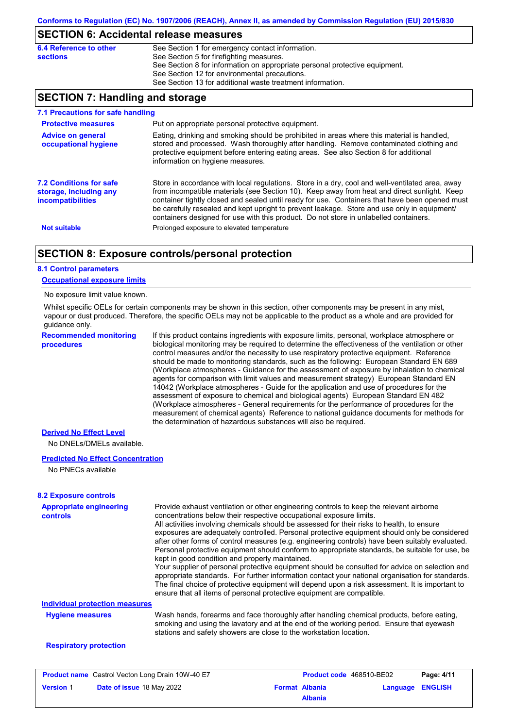## **SECTION 6: Accidental release measures**

| 6.4 Reference to other | See Section 1 for emergency contact information.                            |
|------------------------|-----------------------------------------------------------------------------|
| <b>sections</b>        | See Section 5 for firefighting measures.                                    |
|                        | See Section 8 for information on appropriate personal protective equipment. |
|                        | See Section 12 for environmental precautions.                               |
|                        | See Section 13 for additional waste treatment information.                  |

## **SECTION 7: Handling and storage**

| 7.1 Precautions for safe handling                                                    |                                                                                                                                                                                                                                                                                                                                                                                                                                                                                          |
|--------------------------------------------------------------------------------------|------------------------------------------------------------------------------------------------------------------------------------------------------------------------------------------------------------------------------------------------------------------------------------------------------------------------------------------------------------------------------------------------------------------------------------------------------------------------------------------|
| <b>Protective measures</b>                                                           | Put on appropriate personal protective equipment.                                                                                                                                                                                                                                                                                                                                                                                                                                        |
| <b>Advice on general</b><br>occupational hygiene                                     | Eating, drinking and smoking should be prohibited in areas where this material is handled,<br>stored and processed. Wash thoroughly after handling. Remove contaminated clothing and<br>protective equipment before entering eating areas. See also Section 8 for additional<br>information on hygiene measures.                                                                                                                                                                         |
| <b>7.2 Conditions for safe</b><br>storage, including any<br><i>incompatibilities</i> | Store in accordance with local regulations. Store in a dry, cool and well-ventilated area, away<br>from incompatible materials (see Section 10). Keep away from heat and direct sunlight. Keep<br>container tightly closed and sealed until ready for use. Containers that have been opened must<br>be carefully resealed and kept upright to prevent leakage. Store and use only in equipment/<br>containers designed for use with this product. Do not store in unlabelled containers. |
| <b>Not suitable</b>                                                                  | Prolonged exposure to elevated temperature                                                                                                                                                                                                                                                                                                                                                                                                                                               |

## **SECTION 8: Exposure controls/personal protection**

### **8.1 Control parameters**

### **Occupational exposure limits**

#### No exposure limit value known.

Whilst specific OELs for certain components may be shown in this section, other components may be present in any mist, vapour or dust produced. Therefore, the specific OELs may not be applicable to the product as a whole and are provided for guidance only.

**Recommended monitoring procedures**

If this product contains ingredients with exposure limits, personal, workplace atmosphere or biological monitoring may be required to determine the effectiveness of the ventilation or other control measures and/or the necessity to use respiratory protective equipment. Reference should be made to monitoring standards, such as the following: European Standard EN 689 (Workplace atmospheres - Guidance for the assessment of exposure by inhalation to chemical agents for comparison with limit values and measurement strategy) European Standard EN 14042 (Workplace atmospheres - Guide for the application and use of procedures for the assessment of exposure to chemical and biological agents) European Standard EN 482 (Workplace atmospheres - General requirements for the performance of procedures for the measurement of chemical agents) Reference to national guidance documents for methods for the determination of hazardous substances will also be required.

### **Derived No Effect Level**

No DNELs/DMELs available.

### **Predicted No Effect Concentration**

No PNECs available

# **8.2 Exposure controls**

| <b>Appropriate engineering</b><br>controls | Provide exhaust ventilation or other engineering controls to keep the relevant airborne<br>concentrations below their respective occupational exposure limits.                                                                                                                                                                                                                                                                                     |
|--------------------------------------------|----------------------------------------------------------------------------------------------------------------------------------------------------------------------------------------------------------------------------------------------------------------------------------------------------------------------------------------------------------------------------------------------------------------------------------------------------|
|                                            | All activities involving chemicals should be assessed for their risks to health, to ensure<br>exposures are adequately controlled. Personal protective equipment should only be considered<br>after other forms of control measures (e.g. engineering controls) have been suitably evaluated.<br>Personal protective equipment should conform to appropriate standards, be suitable for use, be<br>kept in good condition and properly maintained. |
|                                            | Your supplier of personal protective equipment should be consulted for advice on selection and<br>appropriate standards. For further information contact your national organisation for standards.<br>The final choice of protective equipment will depend upon a risk assessment. It is important to<br>ensure that all items of personal protective equipment are compatible.                                                                    |
| <b>Individual protection measures</b>      |                                                                                                                                                                                                                                                                                                                                                                                                                                                    |
| <b>Hygiene measures</b>                    | Wash hands, forearms and face thoroughly after handling chemical products, before eating,<br>smoking and using the lavatory and at the end of the working period. Ensure that eyewash<br>stations and safety showers are close to the workstation location.                                                                                                                                                                                        |
| <b>Respiratory protection</b>              |                                                                                                                                                                                                                                                                                                                                                                                                                                                    |
|                                            |                                                                                                                                                                                                                                                                                                                                                                                                                                                    |

| <b>Product name</b> Castrol Vecton Long Drain 10W-40 E7 |                                  | Product code 468510-BE02 |                       | Page: 4/11       |  |
|---------------------------------------------------------|----------------------------------|--------------------------|-----------------------|------------------|--|
| <b>Version 1</b>                                        | <b>Date of issue 18 May 2022</b> |                          | <b>Format Albania</b> | Language ENGLISH |  |
|                                                         |                                  |                          | <b>Albania</b>        |                  |  |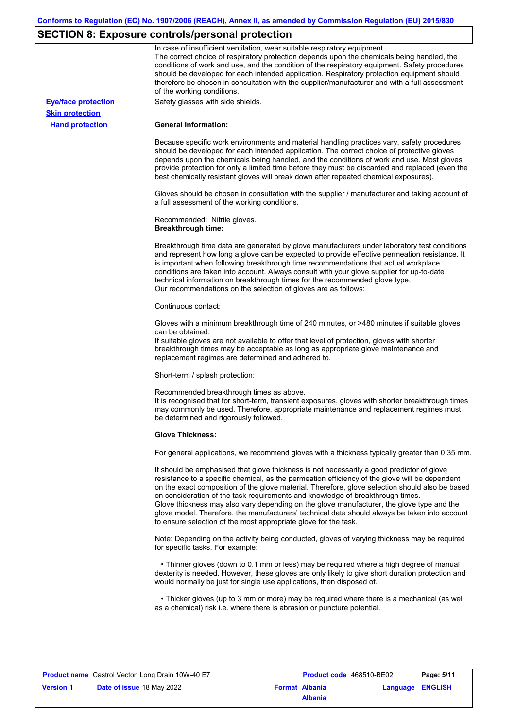# **SECTION 8: Exposure controls/personal protection**

|                            | In case of insufficient ventilation, wear suitable respiratory equipment.<br>The correct choice of respiratory protection depends upon the chemicals being handled, the<br>conditions of work and use, and the condition of the respiratory equipment. Safety procedures<br>should be developed for each intended application. Respiratory protection equipment should<br>therefore be chosen in consultation with the supplier/manufacturer and with a full assessment<br>of the working conditions.                                                                                                                                             |
|----------------------------|---------------------------------------------------------------------------------------------------------------------------------------------------------------------------------------------------------------------------------------------------------------------------------------------------------------------------------------------------------------------------------------------------------------------------------------------------------------------------------------------------------------------------------------------------------------------------------------------------------------------------------------------------|
| <b>Eye/face protection</b> | Safety glasses with side shields.                                                                                                                                                                                                                                                                                                                                                                                                                                                                                                                                                                                                                 |
| <b>Skin protection</b>     |                                                                                                                                                                                                                                                                                                                                                                                                                                                                                                                                                                                                                                                   |
| <b>Hand protection</b>     | <b>General Information:</b>                                                                                                                                                                                                                                                                                                                                                                                                                                                                                                                                                                                                                       |
|                            | Because specific work environments and material handling practices vary, safety procedures<br>should be developed for each intended application. The correct choice of protective gloves<br>depends upon the chemicals being handled, and the conditions of work and use. Most gloves<br>provide protection for only a limited time before they must be discarded and replaced (even the<br>best chemically resistant gloves will break down after repeated chemical exposures).                                                                                                                                                                  |
|                            | Gloves should be chosen in consultation with the supplier / manufacturer and taking account of<br>a full assessment of the working conditions.                                                                                                                                                                                                                                                                                                                                                                                                                                                                                                    |
|                            | Recommended: Nitrile gloves.<br><b>Breakthrough time:</b>                                                                                                                                                                                                                                                                                                                                                                                                                                                                                                                                                                                         |
|                            | Breakthrough time data are generated by glove manufacturers under laboratory test conditions<br>and represent how long a glove can be expected to provide effective permeation resistance. It<br>is important when following breakthrough time recommendations that actual workplace<br>conditions are taken into account. Always consult with your glove supplier for up-to-date<br>technical information on breakthrough times for the recommended glove type.<br>Our recommendations on the selection of gloves are as follows:                                                                                                                |
|                            | Continuous contact:                                                                                                                                                                                                                                                                                                                                                                                                                                                                                                                                                                                                                               |
|                            | Gloves with a minimum breakthrough time of 240 minutes, or >480 minutes if suitable gloves<br>can be obtained.<br>If suitable gloves are not available to offer that level of protection, gloves with shorter<br>breakthrough times may be acceptable as long as appropriate glove maintenance and<br>replacement regimes are determined and adhered to.                                                                                                                                                                                                                                                                                          |
|                            | Short-term / splash protection:                                                                                                                                                                                                                                                                                                                                                                                                                                                                                                                                                                                                                   |
|                            | Recommended breakthrough times as above.<br>It is recognised that for short-term, transient exposures, gloves with shorter breakthrough times<br>may commonly be used. Therefore, appropriate maintenance and replacement regimes must<br>be determined and rigorously followed.                                                                                                                                                                                                                                                                                                                                                                  |
|                            | <b>Glove Thickness:</b>                                                                                                                                                                                                                                                                                                                                                                                                                                                                                                                                                                                                                           |
|                            | For general applications, we recommend gloves with a thickness typically greater than 0.35 mm.                                                                                                                                                                                                                                                                                                                                                                                                                                                                                                                                                    |
|                            | It should be emphasised that glove thickness is not necessarily a good predictor of glove<br>resistance to a specific chemical, as the permeation efficiency of the glove will be dependent<br>on the exact composition of the glove material. Therefore, glove selection should also be based<br>on consideration of the task requirements and knowledge of breakthrough times.<br>Glove thickness may also vary depending on the glove manufacturer, the glove type and the<br>glove model. Therefore, the manufacturers' technical data should always be taken into account<br>to ensure selection of the most appropriate glove for the task. |
|                            | Note: Depending on the activity being conducted, gloves of varying thickness may be required<br>for specific tasks. For example:                                                                                                                                                                                                                                                                                                                                                                                                                                                                                                                  |
|                            | • Thinner gloves (down to 0.1 mm or less) may be required where a high degree of manual<br>dexterity is needed. However, these gloves are only likely to give short duration protection and<br>would normally be just for single use applications, then disposed of.                                                                                                                                                                                                                                                                                                                                                                              |
|                            | • Thicker gloves (up to 3 mm or more) may be required where there is a mechanical (as well<br>as a chemical) risk i.e. where there is abrasion or puncture potential.                                                                                                                                                                                                                                                                                                                                                                                                                                                                             |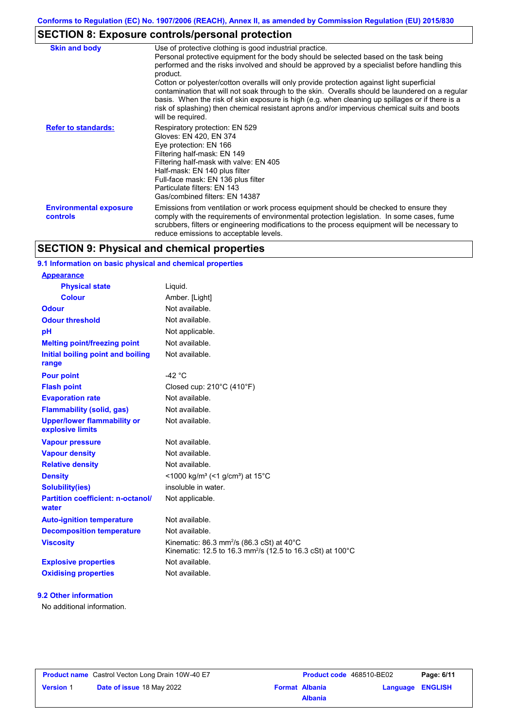# **SECTION 8: Exposure controls/personal protection**

| <b>Skin and body</b>                             | Use of protective clothing is good industrial practice.<br>Personal protective equipment for the body should be selected based on the task being<br>performed and the risks involved and should be approved by a specialist before handling this<br>product.<br>Cotton or polyester/cotton overalls will only provide protection against light superficial<br>contamination that will not soak through to the skin. Overalls should be laundered on a regular<br>basis. When the risk of skin exposure is high (e.g. when cleaning up spillages or if there is a<br>risk of splashing) then chemical resistant aprons and/or impervious chemical suits and boots<br>will be required. |
|--------------------------------------------------|---------------------------------------------------------------------------------------------------------------------------------------------------------------------------------------------------------------------------------------------------------------------------------------------------------------------------------------------------------------------------------------------------------------------------------------------------------------------------------------------------------------------------------------------------------------------------------------------------------------------------------------------------------------------------------------|
| <b>Refer to standards:</b>                       | Respiratory protection: EN 529<br>Gloves: EN 420, EN 374<br>Eye protection: EN 166<br>Filtering half-mask: EN 149<br>Filtering half-mask with valve: EN 405<br>Half-mask: EN 140 plus filter<br>Full-face mask: EN 136 plus filter<br>Particulate filters: EN 143<br>Gas/combined filters: EN 14387                                                                                                                                                                                                                                                                                                                                                                                   |
| <b>Environmental exposure</b><br><b>controls</b> | Emissions from ventilation or work process equipment should be checked to ensure they<br>comply with the requirements of environmental protection legislation. In some cases, fume<br>scrubbers, filters or engineering modifications to the process equipment will be necessary to<br>reduce emissions to acceptable levels.                                                                                                                                                                                                                                                                                                                                                         |

# **SECTION 9: Physical and chemical properties**

## **9.1 Information on basic physical and chemical properties**

| <u>Appearance</u>                                      |                                                                                                                                 |
|--------------------------------------------------------|---------------------------------------------------------------------------------------------------------------------------------|
| <b>Physical state</b>                                  | Liquid.                                                                                                                         |
| <b>Colour</b>                                          | Amber. [Light]                                                                                                                  |
| Odour                                                  | Not available.                                                                                                                  |
| <b>Odour threshold</b>                                 | Not available.                                                                                                                  |
| рH                                                     | Not applicable.                                                                                                                 |
| <b>Melting point/freezing point</b>                    | Not available.                                                                                                                  |
| Initial boiling point and boiling<br>range             | Not available.                                                                                                                  |
| <b>Pour point</b>                                      | $-42 °C$                                                                                                                        |
| <b>Flash point</b>                                     | Closed cup: $210^{\circ}$ C (410°F)                                                                                             |
| <b>Evaporation rate</b>                                | Not available.                                                                                                                  |
| <b>Flammability (solid, gas)</b>                       | Not available.                                                                                                                  |
| <b>Upper/lower flammability or</b><br>explosive limits | Not available.                                                                                                                  |
| <b>Vapour pressure</b>                                 | Not available.                                                                                                                  |
| <b>Vapour density</b>                                  | Not available.                                                                                                                  |
| <b>Relative density</b>                                | Not available.                                                                                                                  |
| <b>Density</b>                                         | <1000 kg/m <sup>3</sup> (<1 g/cm <sup>3</sup> ) at 15 <sup>°</sup> C                                                            |
| Solubility(ies)                                        | insoluble in water.                                                                                                             |
| <b>Partition coefficient: n-octanol/</b><br>water      | Not applicable.                                                                                                                 |
| <b>Auto-ignition temperature</b>                       | Not available.                                                                                                                  |
| <b>Decomposition temperature</b>                       | Not available.                                                                                                                  |
| <b>Viscosity</b>                                       | Kinematic: 86.3 mm <sup>2</sup> /s (86.3 cSt) at 40°C<br>Kinematic: 12.5 to 16.3 mm <sup>2</sup> /s (12.5 to 16.3 cSt) at 100°C |
| <b>Explosive properties</b>                            | Not available.                                                                                                                  |
| <b>Oxidising properties</b>                            | Not available.                                                                                                                  |

### **9.2 Other information**

**Appearance**

No additional information.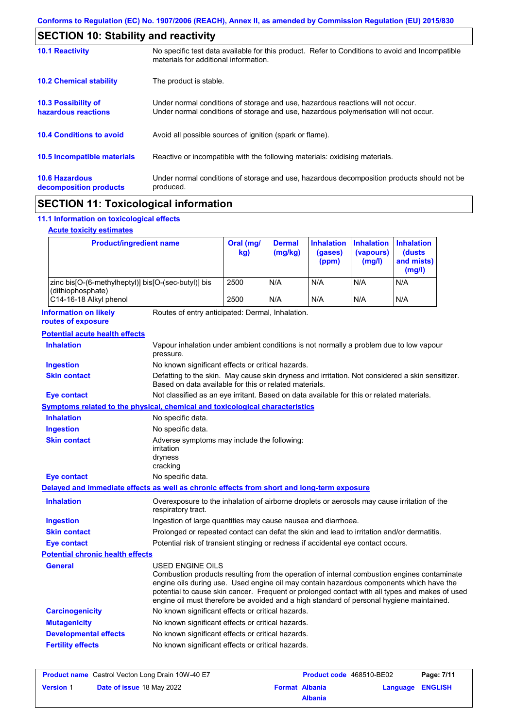| <b>SECTION 10: Stability and reactivity</b>       |                                                                                                                                                                         |  |  |
|---------------------------------------------------|-------------------------------------------------------------------------------------------------------------------------------------------------------------------------|--|--|
| <b>10.1 Reactivity</b>                            | No specific test data available for this product. Refer to Conditions to avoid and Incompatible<br>materials for additional information.                                |  |  |
| <b>10.2 Chemical stability</b>                    | The product is stable.                                                                                                                                                  |  |  |
| <b>10.3 Possibility of</b><br>hazardous reactions | Under normal conditions of storage and use, hazardous reactions will not occur.<br>Under normal conditions of storage and use, hazardous polymerisation will not occur. |  |  |
| <b>10.4 Conditions to avoid</b>                   | Avoid all possible sources of ignition (spark or flame).                                                                                                                |  |  |
| 10.5 Incompatible materials                       | Reactive or incompatible with the following materials: oxidising materials.                                                                                             |  |  |
| <b>10.6 Hazardous</b><br>decomposition products   | Under normal conditions of storage and use, hazardous decomposition products should not be<br>produced.                                                                 |  |  |
|                                                   |                                                                                                                                                                         |  |  |

# **SECTION 11: Toxicological information**

## **11.1 Information on toxicological effects**

|  | <b>Acute toxicity estimates</b> |
|--|---------------------------------|
|  |                                 |

| <b>Product/ingredient name</b>                                                             |                                                                                                                                                                                                                                                                                                                                                                                                          | Oral (mg/<br>kg) | <b>Dermal</b><br>(mg/kg) | <b>Inhalation</b><br>(gases)<br>(ppm) | <b>Inhalation</b><br>(vapours)<br>(mg/l) | <b>Inhalation</b><br>(dusts<br>and mists)<br>(mg/l) |
|--------------------------------------------------------------------------------------------|----------------------------------------------------------------------------------------------------------------------------------------------------------------------------------------------------------------------------------------------------------------------------------------------------------------------------------------------------------------------------------------------------------|------------------|--------------------------|---------------------------------------|------------------------------------------|-----------------------------------------------------|
| zinc bis[O-(6-methylheptyl)] bis[O-(sec-butyl)] bis                                        |                                                                                                                                                                                                                                                                                                                                                                                                          | 2500             | N/A                      | N/A                                   | N/A                                      | N/A                                                 |
| (dithiophosphate)<br>C14-16-18 Alkyl phenol                                                |                                                                                                                                                                                                                                                                                                                                                                                                          | 2500             | N/A                      | N/A                                   | N/A                                      | N/A                                                 |
| <b>Information on likely</b><br>routes of exposure                                         | Routes of entry anticipated: Dermal, Inhalation.                                                                                                                                                                                                                                                                                                                                                         |                  |                          |                                       |                                          |                                                     |
| <b>Potential acute health effects</b>                                                      |                                                                                                                                                                                                                                                                                                                                                                                                          |                  |                          |                                       |                                          |                                                     |
| <b>Inhalation</b>                                                                          | Vapour inhalation under ambient conditions is not normally a problem due to low vapour<br>pressure.                                                                                                                                                                                                                                                                                                      |                  |                          |                                       |                                          |                                                     |
| <b>Ingestion</b>                                                                           | No known significant effects or critical hazards.                                                                                                                                                                                                                                                                                                                                                        |                  |                          |                                       |                                          |                                                     |
| <b>Skin contact</b>                                                                        | Defatting to the skin. May cause skin dryness and irritation. Not considered a skin sensitizer.<br>Based on data available for this or related materials.                                                                                                                                                                                                                                                |                  |                          |                                       |                                          |                                                     |
| <b>Eye contact</b>                                                                         | Not classified as an eye irritant. Based on data available for this or related materials.                                                                                                                                                                                                                                                                                                                |                  |                          |                                       |                                          |                                                     |
| <b>Symptoms related to the physical, chemical and toxicological characteristics</b>        |                                                                                                                                                                                                                                                                                                                                                                                                          |                  |                          |                                       |                                          |                                                     |
| <b>Inhalation</b>                                                                          | No specific data.                                                                                                                                                                                                                                                                                                                                                                                        |                  |                          |                                       |                                          |                                                     |
| <b>Ingestion</b>                                                                           | No specific data.                                                                                                                                                                                                                                                                                                                                                                                        |                  |                          |                                       |                                          |                                                     |
| <b>Skin contact</b>                                                                        | Adverse symptoms may include the following:<br>irritation<br>dryness<br>cracking                                                                                                                                                                                                                                                                                                                         |                  |                          |                                       |                                          |                                                     |
| Eye contact                                                                                | No specific data.                                                                                                                                                                                                                                                                                                                                                                                        |                  |                          |                                       |                                          |                                                     |
| Delayed and immediate effects as well as chronic effects from short and long-term exposure |                                                                                                                                                                                                                                                                                                                                                                                                          |                  |                          |                                       |                                          |                                                     |
| <b>Inhalation</b>                                                                          | Overexposure to the inhalation of airborne droplets or aerosols may cause irritation of the<br>respiratory tract.                                                                                                                                                                                                                                                                                        |                  |                          |                                       |                                          |                                                     |
| <b>Ingestion</b>                                                                           | Ingestion of large quantities may cause nausea and diarrhoea.                                                                                                                                                                                                                                                                                                                                            |                  |                          |                                       |                                          |                                                     |
| <b>Skin contact</b>                                                                        | Prolonged or repeated contact can defat the skin and lead to irritation and/or dermatitis.                                                                                                                                                                                                                                                                                                               |                  |                          |                                       |                                          |                                                     |
| Eye contact                                                                                | Potential risk of transient stinging or redness if accidental eye contact occurs.                                                                                                                                                                                                                                                                                                                        |                  |                          |                                       |                                          |                                                     |
| <b>Potential chronic health effects</b>                                                    |                                                                                                                                                                                                                                                                                                                                                                                                          |                  |                          |                                       |                                          |                                                     |
| General                                                                                    | USED ENGINE OILS<br>Combustion products resulting from the operation of internal combustion engines contaminate<br>engine oils during use. Used engine oil may contain hazardous components which have the<br>potential to cause skin cancer. Frequent or prolonged contact with all types and makes of used<br>engine oil must therefore be avoided and a high standard of personal hygiene maintained. |                  |                          |                                       |                                          |                                                     |
| <b>Carcinogenicity</b>                                                                     | No known significant effects or critical hazards.                                                                                                                                                                                                                                                                                                                                                        |                  |                          |                                       |                                          |                                                     |
| <b>Mutagenicity</b>                                                                        | No known significant effects or critical hazards.                                                                                                                                                                                                                                                                                                                                                        |                  |                          |                                       |                                          |                                                     |
| <b>Developmental effects</b>                                                               | No known significant effects or critical hazards.                                                                                                                                                                                                                                                                                                                                                        |                  |                          |                                       |                                          |                                                     |
| <b>Fertility effects</b>                                                                   | No known significant effects or critical hazards.                                                                                                                                                                                                                                                                                                                                                        |                  |                          |                                       |                                          |                                                     |
|                                                                                            |                                                                                                                                                                                                                                                                                                                                                                                                          |                  |                          |                                       |                                          |                                                     |

| <b>Product name</b> Castrol Vecton Long Drain 10W-40 E7 |                                  | <b>Product code</b> 468510-BE02 |                       | Page: 7/11       |  |
|---------------------------------------------------------|----------------------------------|---------------------------------|-----------------------|------------------|--|
| <b>Version 1</b>                                        | <b>Date of issue 18 May 2022</b> |                                 | <b>Format Albania</b> | Language ENGLISH |  |
|                                                         |                                  |                                 | <b>Albania</b>        |                  |  |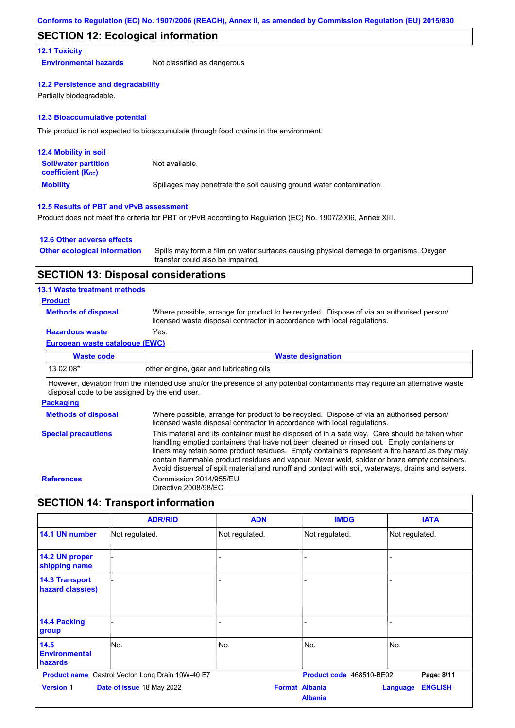## **SECTION 12: Ecological information**

### **12.1 Toxicity**

**Environmental hazards** Not classified as dangerous

### **12.2 Persistence and degradability**

Partially biodegradable.

### **12.3 Bioaccumulative potential**

This product is not expected to bioaccumulate through food chains in the environment.

| <b>12.4 Mobility in soil</b>                                  |                                                                      |
|---------------------------------------------------------------|----------------------------------------------------------------------|
| <b>Soil/water partition</b><br>coefficient (K <sub>oc</sub> ) | Not available.                                                       |
| <b>Mobility</b>                                               | Spillages may penetrate the soil causing ground water contamination. |

### **12.5 Results of PBT and vPvB assessment**

Product does not meet the criteria for PBT or vPvB according to Regulation (EC) No. 1907/2006, Annex XIII.

### **12.6 Other adverse effects**

| <b>Other ecological information</b> | Spills may form a film on water surfaces causing physical damage to organisms. Oxygen |
|-------------------------------------|---------------------------------------------------------------------------------------|
|                                     | transfer could also be impaired.                                                      |

## **SECTION 13: Disposal considerations**

### **13.1 Waste treatment methods**

**Product**

**Methods of disposal**

Where possible, arrange for product to be recycled. Dispose of via an authorised person/ licensed waste disposal contractor in accordance with local regulations.

## **Hazardous waste** Yes.

## **European waste catalogue (EWC)**

| <b>Waste code</b> | <b>Waste designation</b>                |
|-------------------|-----------------------------------------|
| 13 02 08*         | other engine, gear and lubricating oils |

However, deviation from the intended use and/or the presence of any potential contaminants may require an alternative waste disposal code to be assigned by the end user.

### **Packaging**

**Methods of disposal Special precautions** Where possible, arrange for product to be recycled. Dispose of via an authorised person/ licensed waste disposal contractor in accordance with local regulations. This material and its container must be disposed of in a safe way. Care should be taken when handling emptied containers that have not been cleaned or rinsed out. Empty containers or liners may retain some product residues. Empty containers represent a fire hazard as they may contain flammable product residues and vapour. Never weld, solder or braze empty containers. Avoid dispersal of spilt material and runoff and contact with soil, waterways, drains and sewers. **References** Commission 2014/955/EU Directive 2008/98/EC

## **SECTION 14: Transport information**

|                                           | <b>ADR/RID</b>                                          | <b>ADN</b>     | <b>IMDG</b>                             | <b>IATA</b>                       |
|-------------------------------------------|---------------------------------------------------------|----------------|-----------------------------------------|-----------------------------------|
| 14.1 UN number                            | Not regulated.                                          | Not regulated. | Not regulated.                          | Not regulated.                    |
| 14.2 UN proper<br>shipping name           |                                                         |                |                                         |                                   |
| <b>14.3 Transport</b><br>hazard class(es) |                                                         |                |                                         |                                   |
| <b>14.4 Packing</b><br>group              |                                                         |                |                                         |                                   |
| 14.5<br><b>Environmental</b><br>hazards   | No.                                                     | No.            | No.                                     | No.                               |
|                                           | <b>Product name</b> Castrol Vecton Long Drain 10W-40 E7 |                | Product code 468510-BE02                | Page: 8/11                        |
| <b>Version 1</b>                          | Date of issue 18 May 2022                               |                | <b>Format Albania</b><br><b>Albania</b> | <b>ENGLISH</b><br><b>Language</b> |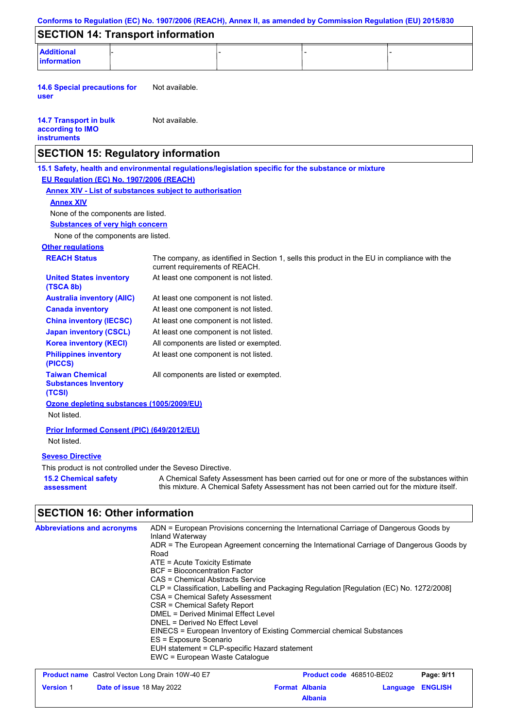|                                                                         | Conforms to Regulation (EC) No. 1907/2006 (REACH), Annex II, as amended by Commission Regulation (EU) 2015/830                                                                                                                                                                                                                                                                                                                                                                                                                                                                                                                                      |  |  |
|-------------------------------------------------------------------------|-----------------------------------------------------------------------------------------------------------------------------------------------------------------------------------------------------------------------------------------------------------------------------------------------------------------------------------------------------------------------------------------------------------------------------------------------------------------------------------------------------------------------------------------------------------------------------------------------------------------------------------------------------|--|--|
| <b>SECTION 14: Transport information</b>                                |                                                                                                                                                                                                                                                                                                                                                                                                                                                                                                                                                                                                                                                     |  |  |
| <b>Additional</b><br>information                                        |                                                                                                                                                                                                                                                                                                                                                                                                                                                                                                                                                                                                                                                     |  |  |
| <b>14.6 Special precautions for</b><br>user                             | Not available.                                                                                                                                                                                                                                                                                                                                                                                                                                                                                                                                                                                                                                      |  |  |
| <b>14.7 Transport in bulk</b><br>according to IMO<br><b>instruments</b> | Not available.                                                                                                                                                                                                                                                                                                                                                                                                                                                                                                                                                                                                                                      |  |  |
| <b>SECTION 15: Regulatory information</b>                               |                                                                                                                                                                                                                                                                                                                                                                                                                                                                                                                                                                                                                                                     |  |  |
|                                                                         | 15.1 Safety, health and environmental regulations/legislation specific for the substance or mixture                                                                                                                                                                                                                                                                                                                                                                                                                                                                                                                                                 |  |  |
| EU Regulation (EC) No. 1907/2006 (REACH)                                |                                                                                                                                                                                                                                                                                                                                                                                                                                                                                                                                                                                                                                                     |  |  |
|                                                                         | <b>Annex XIV - List of substances subject to authorisation</b>                                                                                                                                                                                                                                                                                                                                                                                                                                                                                                                                                                                      |  |  |
| <b>Annex XIV</b>                                                        |                                                                                                                                                                                                                                                                                                                                                                                                                                                                                                                                                                                                                                                     |  |  |
| None of the components are listed.                                      |                                                                                                                                                                                                                                                                                                                                                                                                                                                                                                                                                                                                                                                     |  |  |
| <b>Substances of very high concern</b>                                  |                                                                                                                                                                                                                                                                                                                                                                                                                                                                                                                                                                                                                                                     |  |  |
| None of the components are listed.                                      |                                                                                                                                                                                                                                                                                                                                                                                                                                                                                                                                                                                                                                                     |  |  |
| <b>Other regulations</b>                                                |                                                                                                                                                                                                                                                                                                                                                                                                                                                                                                                                                                                                                                                     |  |  |
| <b>REACH Status</b>                                                     | The company, as identified in Section 1, sells this product in the EU in compliance with the<br>current requirements of REACH.                                                                                                                                                                                                                                                                                                                                                                                                                                                                                                                      |  |  |
| <b>United States inventory</b><br>(TSCA 8b)                             | At least one component is not listed.                                                                                                                                                                                                                                                                                                                                                                                                                                                                                                                                                                                                               |  |  |
| <b>Australia inventory (AIIC)</b>                                       | At least one component is not listed.                                                                                                                                                                                                                                                                                                                                                                                                                                                                                                                                                                                                               |  |  |
| <b>Canada inventory</b>                                                 | At least one component is not listed.                                                                                                                                                                                                                                                                                                                                                                                                                                                                                                                                                                                                               |  |  |
| <b>China inventory (IECSC)</b>                                          | At least one component is not listed.                                                                                                                                                                                                                                                                                                                                                                                                                                                                                                                                                                                                               |  |  |
| <b>Japan inventory (CSCL)</b>                                           | At least one component is not listed.                                                                                                                                                                                                                                                                                                                                                                                                                                                                                                                                                                                                               |  |  |
| <b>Korea inventory (KECI)</b>                                           | All components are listed or exempted.                                                                                                                                                                                                                                                                                                                                                                                                                                                                                                                                                                                                              |  |  |
| <b>Philippines inventory</b><br>(PICCS)                                 | At least one component is not listed.                                                                                                                                                                                                                                                                                                                                                                                                                                                                                                                                                                                                               |  |  |
| <b>Taiwan Chemical</b><br><b>Substances Inventory</b><br>(TCSI)         | All components are listed or exempted.                                                                                                                                                                                                                                                                                                                                                                                                                                                                                                                                                                                                              |  |  |
| Ozone depleting substances (1005/2009/EU)<br>Not listed.                |                                                                                                                                                                                                                                                                                                                                                                                                                                                                                                                                                                                                                                                     |  |  |
| Prior Informed Consent (PIC) (649/2012/EU)<br>Not listed.               |                                                                                                                                                                                                                                                                                                                                                                                                                                                                                                                                                                                                                                                     |  |  |
| <b>Seveso Directive</b>                                                 |                                                                                                                                                                                                                                                                                                                                                                                                                                                                                                                                                                                                                                                     |  |  |
| This product is not controlled under the Seveso Directive.              |                                                                                                                                                                                                                                                                                                                                                                                                                                                                                                                                                                                                                                                     |  |  |
| <b>15.2 Chemical safety</b><br>assessment                               | A Chemical Safety Assessment has been carried out for one or more of the substances within<br>this mixture. A Chemical Safety Assessment has not been carried out for the mixture itself.                                                                                                                                                                                                                                                                                                                                                                                                                                                           |  |  |
| <b>SECTION 16: Other information</b>                                    |                                                                                                                                                                                                                                                                                                                                                                                                                                                                                                                                                                                                                                                     |  |  |
| <b>Abbreviations and acronyms</b>                                       | ADN = European Provisions concerning the International Carriage of Dangerous Goods by<br>Inland Waterway<br>ADR = The European Agreement concerning the International Carriage of Dangerous Goods by<br>Road<br>ATE = Acute Toxicity Estimate<br><b>BCF</b> = Bioconcentration Factor<br>CAS = Chemical Abstracts Service<br>CLP = Classification, Labelling and Packaging Regulation [Regulation (EC) No. 1272/2008]<br>CSA = Chemical Safety Assessment<br>CSR = Chemical Safety Report<br><b>DMEL = Derived Minimal Effect Level</b><br>DNEL = Derived No Effect Level<br>EINECS = European Inventory of Existing Commercial chemical Substances |  |  |
|                                                                         | ES = Exposure Scenario<br>EUH statement = CLP-specific Hazard statement                                                                                                                                                                                                                                                                                                                                                                                                                                                                                                                                                                             |  |  |

EWC = European Waste Catalogue

|                  | <b>Product name</b> Castrol Vecton Long Drain 10W-40 E7 |                       | Product code 468510-BE02 |                         | Page: 9/11 |
|------------------|---------------------------------------------------------|-----------------------|--------------------------|-------------------------|------------|
| <b>Version 1</b> | <b>Date of issue 18 May 2022</b>                        | <b>Format Albania</b> |                          | <b>Language ENGLISH</b> |            |
|                  |                                                         |                       | <b>Albania</b>           |                         |            |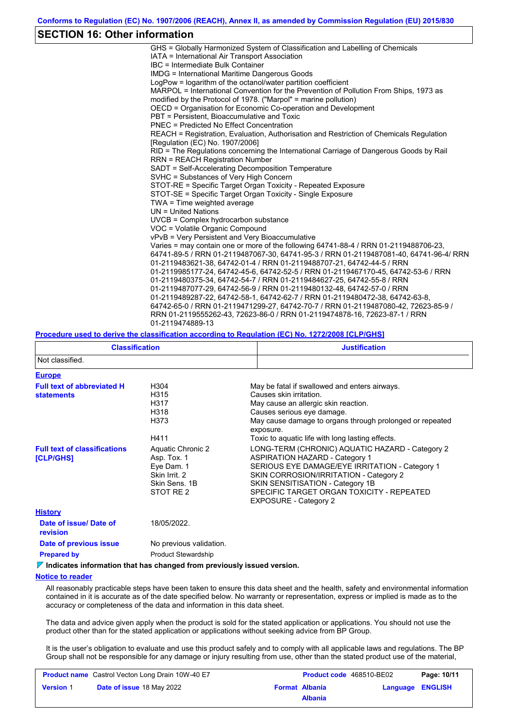# **SECTION 16: Other information**

| GHS = Globally Harmonized System of Classification and Labelling of Chemicals           |
|-----------------------------------------------------------------------------------------|
| IATA = International Air Transport Association                                          |
| $\text{IRC}$ = Intermediate Bulk Container                                              |
| <b>IMDG</b> = International Maritime Dangerous Goods                                    |
| LogPow = logarithm of the octanol/water partition coefficient                           |
| MARPOL = International Convention for the Prevention of Pollution From Ships, 1973 as   |
| modified by the Protocol of 1978. ("Marpol" = marine pollution)                         |
| OECD = Organisation for Economic Co-operation and Development                           |
| PBT = Persistent, Bioaccumulative and Toxic                                             |
| PNEC = Predicted No Effect Concentration                                                |
| REACH = Registration, Evaluation, Authorisation and Restriction of Chemicals Regulation |
| [Regulation (EC) No. 1907/2006]                                                         |
| RID = The Regulations concerning the International Carriage of Dangerous Goods by Rail  |
| <b>RRN = REACH Registration Number</b>                                                  |
| SADT = Self-Accelerating Decomposition Temperature                                      |
| SVHC = Substances of Very High Concern                                                  |
| STOT-RE = Specific Target Organ Toxicity - Repeated Exposure                            |
| STOT-SE = Specific Target Organ Toxicity - Single Exposure                              |
| TWA = Time weighted average                                                             |
| $UN = United Nations$                                                                   |
| UVCB = Complex hydrocarbon substance                                                    |
| VOC = Volatile Organic Compound                                                         |
| vPvB = Very Persistent and Very Bioaccumulative                                         |
| Varies = may contain one or more of the following 64741-88-4 / RRN 01-2119488706-23.    |
| 64741-89-5 / RRN 01-2119487067-30, 64741-95-3 / RRN 01-2119487081-40, 64741-96-4/ RRN   |
| 01-2119483621-38, 64742-01-4 / RRN 01-2119488707-21, 64742-44-5 / RRN                   |
| 01-2119985177-24, 64742-45-6, 64742-52-5 / RRN 01-2119467170-45, 64742-53-6 / RRN       |
| 01-2119480375-34, 64742-54-7 / RRN 01-2119484627-25, 64742-55-8 / RRN                   |
| 01-2119487077-29, 64742-56-9 / RRN 01-2119480132-48, 64742-57-0 / RRN                   |
| 01-2119489287-22, 64742-58-1, 64742-62-7 / RRN 01-2119480472-38, 64742-63-8,            |
| 64742-65-0 / RRN 01-2119471299-27, 64742-70-7 / RRN 01-2119487080-42, 72623-85-9 /      |
| RRN 01-2119555262-43, 72623-86-0 / RRN 01-2119474878-16, 72623-87-1 / RRN               |
| 01-2119474889-13                                                                        |

### **Procedure used to derive the classification according to Regulation (EC) No. 1272/2008 [CLP/GHS]**

| <b>Classification</b>                                  |                                                                                               | <b>Justification</b>                                                                                                                                                                                                                                                                                  |  |  |  |
|--------------------------------------------------------|-----------------------------------------------------------------------------------------------|-------------------------------------------------------------------------------------------------------------------------------------------------------------------------------------------------------------------------------------------------------------------------------------------------------|--|--|--|
| Not classified.                                        |                                                                                               |                                                                                                                                                                                                                                                                                                       |  |  |  |
| <b>Europe</b>                                          |                                                                                               |                                                                                                                                                                                                                                                                                                       |  |  |  |
| <b>Full text of abbreviated H</b><br><b>statements</b> | H304<br>H315<br>H317<br>H318<br>H373<br>H411                                                  | May be fatal if swallowed and enters airways.<br>Causes skin irritation.<br>May cause an allergic skin reaction.<br>Causes serious eye damage.<br>May cause damage to organs through prolonged or repeated<br>exposure.<br>Toxic to aquatic life with long lasting effects.                           |  |  |  |
| <b>Full text of classifications</b><br>[CLP/GHS]       | Aquatic Chronic 2<br>Asp. Tox. 1<br>Eye Dam. 1<br>Skin Irrit. 2<br>Skin Sens, 1B<br>STOT RE 2 | LONG-TERM (CHRONIC) AQUATIC HAZARD - Category 2<br><b>ASPIRATION HAZARD - Category 1</b><br>SERIOUS EYE DAMAGE/EYE IRRITATION - Category 1<br>SKIN CORROSION/IRRITATION - Category 2<br>SKIN SENSITISATION - Category 1B<br>SPECIFIC TARGET ORGAN TOXICITY - REPEATED<br><b>EXPOSURE - Category 2</b> |  |  |  |
| <b>History</b>                                         |                                                                                               |                                                                                                                                                                                                                                                                                                       |  |  |  |
| Date of issue/ Date of<br><b>revision</b>              | 18/05/2022.                                                                                   |                                                                                                                                                                                                                                                                                                       |  |  |  |
| Date of previous issue                                 | No previous validation.                                                                       |                                                                                                                                                                                                                                                                                                       |  |  |  |
| <b>Prepared by</b>                                     | <b>Product Stewardship</b>                                                                    |                                                                                                                                                                                                                                                                                                       |  |  |  |

**Indicates information that has changed from previously issued version.**

### **Notice to reader**

All reasonably practicable steps have been taken to ensure this data sheet and the health, safety and environmental information contained in it is accurate as of the date specified below. No warranty or representation, express or implied is made as to the accuracy or completeness of the data and information in this data sheet.

The data and advice given apply when the product is sold for the stated application or applications. You should not use the product other than for the stated application or applications without seeking advice from BP Group.

It is the user's obligation to evaluate and use this product safely and to comply with all applicable laws and regulations. The BP Group shall not be responsible for any damage or injury resulting from use, other than the stated product use of the material,

|                  | <b>Product name</b> Castrol Vecton Long Drain 10W-40 E7 | Product code 468510-BE02 |                  | Page: 10/11 |
|------------------|---------------------------------------------------------|--------------------------|------------------|-------------|
| <b>Version 1</b> | <b>Date of issue 18 May 2022</b>                        | <b>Format Albania</b>    | Language ENGLISH |             |
|                  |                                                         | <b>Albania</b>           |                  |             |